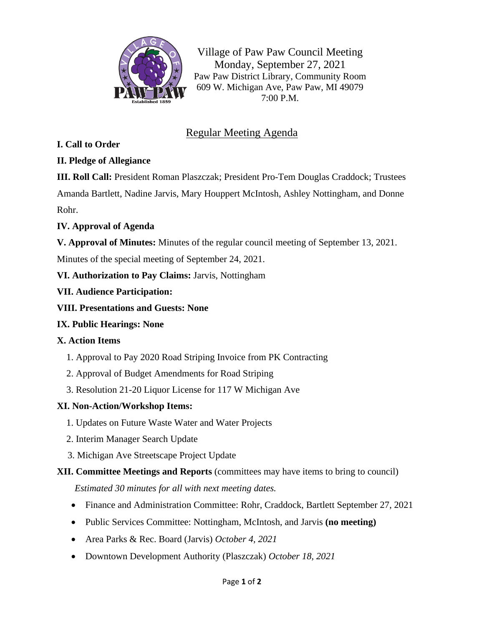

Village of Paw Paw Council Meeting Monday, September 27, 2021 Paw Paw District Library, Community Room 609 W. Michigan Ave, Paw Paw, MI 49079 7:00 P.M.

# Regular Meeting Agenda

#### **I. Call to Order**

#### **II. Pledge of Allegiance**

**III. Roll Call:** President Roman Plaszczak; President Pro-Tem Douglas Craddock; Trustees Amanda Bartlett, Nadine Jarvis, Mary Houppert McIntosh, Ashley Nottingham, and Donne Rohr.

#### **IV. Approval of Agenda**

**V. Approval of Minutes:** Minutes of the regular council meeting of September 13, 2021.

Minutes of the special meeting of September 24, 2021.

# **VI. Authorization to Pay Claims:** Jarvis, Nottingham

#### **VII. Audience Participation:**

**VIII. Presentations and Guests: None**

# **IX. Public Hearings: None**

#### **X. Action Items**

- 1. Approval to Pay 2020 Road Striping Invoice from PK Contracting
- 2. Approval of Budget Amendments for Road Striping
- 3. Resolution 21-20 Liquor License for 117 W Michigan Ave

#### **XI. Non-Action/Workshop Items:**

- 1. Updates on Future Waste Water and Water Projects
- 2. Interim Manager Search Update
- 3. Michigan Ave Streetscape Project Update

# **XII. Committee Meetings and Reports** (committees may have items to bring to council)

*Estimated 30 minutes for all with next meeting dates.*

- Finance and Administration Committee: Rohr, Craddock, Bartlett September 27, 2021
- Public Services Committee: Nottingham, McIntosh, and Jarvis **(no meeting)**
- Area Parks & Rec. Board (Jarvis) *October 4, 2021*
- Downtown Development Authority (Plaszczak) *October 18, 2021*